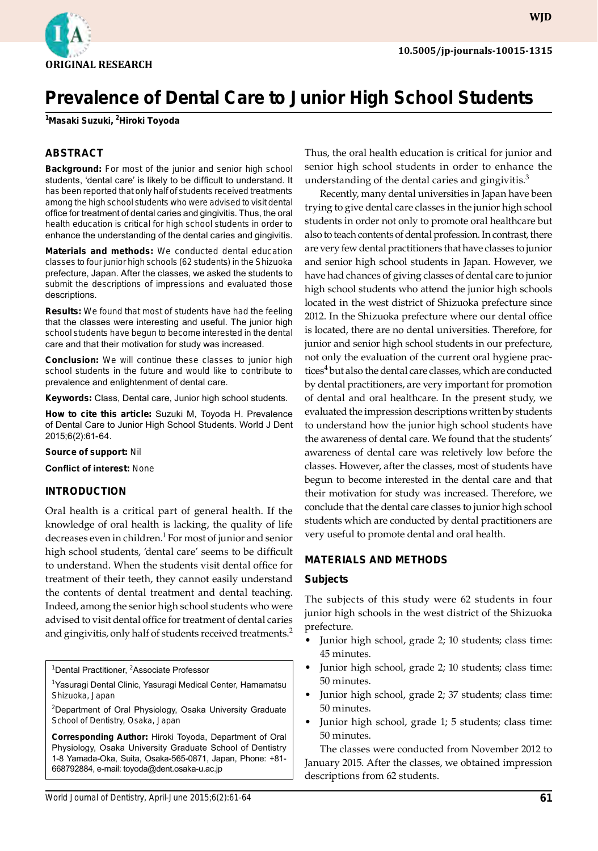**WJD**

# **Prevalence of Dental Care to Junior High School Students**

**1 Masaki Suzuki, 2 Hiroki Toyoda**

#### **ABSTRACT**

**Background:** For most of the junior and senior high school students, 'dental care' is likely to be difficult to understand. It has been reported that only half of students received treatments among the high school students who were advised to visit dental office for treatment of dental caries and gingivitis. Thus, the oral health education is critical for high school students in order to enhance the understanding of the dental caries and gingivitis.

**Materials and methods:** We conducted dental education classes to four junior high schools (62 students) in the Shizuoka prefecture, Japan. After the classes, we asked the students to submit the descriptions of impressions and evaluated those descriptions.

**Results:** We found that most of students have had the feeling that the classes were interesting and useful. The junior high school students have begun to become interested in the dental care and that their motivation for study was increased.

**Conclusion:** We will continue these classes to junior high school students in the future and would like to contribute to prevalence and enlightenment of dental care.

**Keywords:** Class, Dental care, Junior high school students.

**How to cite this article:** Suzuki M, Toyoda H. Prevalence of Dental Care to Junior High School Students. World J Dent 2015;6(2):61-64.

#### **Source of support:** Nil

**Conflict of interest:** None

#### **Introduction**

Oral health is a critical part of general health. If the knowledge of oral health is lacking, the quality of life decreases even in children.<sup>1</sup> For most of junior and senior high school students, 'dental care' seems to be difficult to understand. When the students visit dental office for treatment of their teeth, they cannot easily understand the contents of dental treatment and dental teaching. Indeed, among the senior high school students who were advised to visit dental office for treatment of dental caries and gingivitis, only half of students received treatments.<sup>2</sup>

<sup>1</sup>Dental Practitioner, <sup>2</sup>Associate Professor

<sup>1</sup>Yasuragi Dental Clinic, Yasuragi Medical Center, Hamamatsu Shizuoka, Japan

<sup>2</sup>Department of Oral Physiology, Osaka University Graduate School of Dentistry, Osaka, Japan

**Corresponding Author:** Hiroki Toyoda, Department of Oral Physiology, Osaka University Graduate School of Dentistry 1-8 Yamada-Oka, Suita, Osaka-565-0871, Japan, Phone: +81- 668792884, e-mail: toyoda@dent.osaka-u.ac.jp

Thus, the oral health education is critical for junior and senior high school students in order to enhance the understanding of the dental caries and gingivitis. $3$ 

Recently, many dental universities in Japan have been trying to give dental care classes in the junior high school students in order not only to promote oral healthcare but also to teach contents of dental profession. In contrast, there are very few dental practitioners that have classes to junior and senior high school students in Japan. However, we have had chances of giving classes of dental care to junior high school students who attend the junior high schools located in the west district of Shizuoka prefecture since 2012. In the Shizuoka prefecture where our dental office is located, there are no dental universities. Therefore, for junior and senior high school students in our prefecture, not only the evaluation of the current oral hygiene practices<sup>4</sup> but also the dental care classes, which are conducted by dental practitioners, are very important for promotion of dental and oral healthcare. In the present study, we evaluated the impression descriptions written by students to understand how the junior high school students have the awareness of dental care. We found that the students' awareness of dental care was reletively low before the classes. However, after the classes, most of students have begun to become interested in the dental care and that their motivation for study was increased. Therefore, we conclude that the dental care classes to junior high school students which are conducted by dental practitioners are very useful to promote dental and oral health.

#### **Materials and Methods**

#### **Subjects**

The subjects of this study were 62 students in four junior high schools in the west district of the Shizuoka prefecture.

- Junior high school, grade 2; 10 students; class time: 45 minutes.
- Junior high school, grade 2; 10 students; class time: 50 minutes.
- Junior high school, grade 2; 37 students; class time: 50 minutes.
- Junior high school, grade 1; 5 students; class time: 50 minutes.

The classes were conducted from November 2012 to January 2015. After the classes, we obtained impression descriptions from 62 students.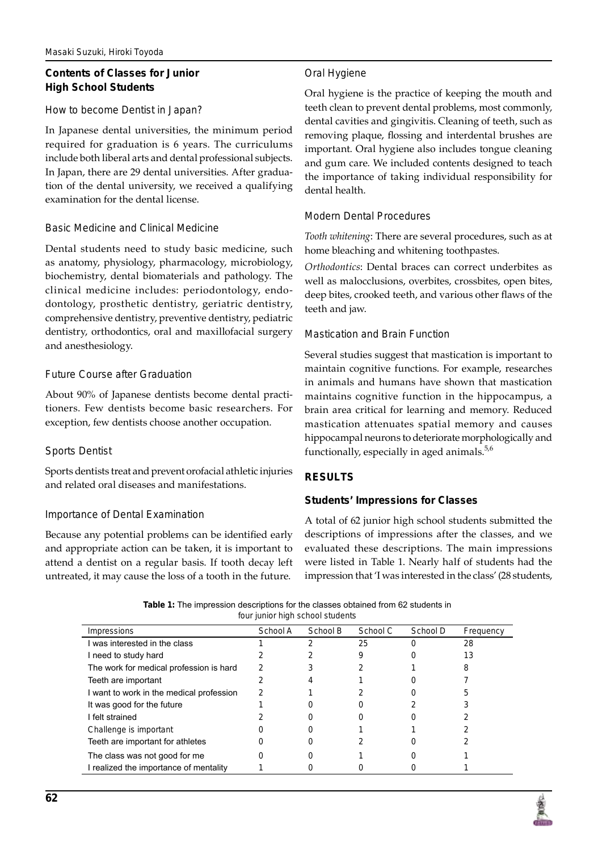# **Contents of Classes for Junior High School Students**

## *How to become Dentist in Japan?*

In Japanese dental universities, the minimum period required for graduation is 6 years. The curriculums include both liberal arts and dental professional subjects. In Japan, there are 29 dental universities. After graduation of the dental university, we received a qualifying examination for the dental license.

## *Basic Medicine and Clinical Medicine*

Dental students need to study basic medicine, such as anatomy, physiology, pharmacology, microbiology, biochemistry, dental biomaterials and pathology. The clinical medicine includes: periodontology, endodontology, prosthetic dentistry, geriatric dentistry, comprehensive dentistry, preventive dentistry, pediatric dentistry, orthodontics, oral and maxillofacial surgery and anesthesiology.

## *Future Course after Graduation*

About 90% of Japanese dentists become dental practitioners. Few dentists become basic researchers. For exception, few dentists choose another occupation.

# *Sports Dentist*

Sports dentists treat and prevent orofacial athletic injuries and related oral diseases and manifestations.

## *Importance of Dental Examination*

Because any potential problems can be identified early and appropriate action can be taken, it is important to attend a dentist on a regular basis. If tooth decay left untreated, it may cause the loss of a tooth in the future.

# *Oral Hygiene*

Oral hygiene is the practice of keeping the mouth and teeth clean to prevent dental problems, most commonly, dental cavities and gingivitis. Cleaning of teeth, such as removing plaque, flossing and interdental brushes are important. Oral hygiene also includes tongue cleaning and gum care. We included contents designed to teach the importance of taking individual responsibility for dental health.

## *Modern Dental Procedures*

*Tooth whitening*: There are several procedures, such as at home bleaching and whitening toothpastes.

*Orthodontics*: Dental braces can correct underbites as well as malocclusions, overbites, crossbites, open bites, deep bites, crooked teeth, and various other flaws of the teeth and jaw.

## *Mastication and Brain Function*

Several studies suggest that mastication is important to maintain cognitive functions. For example, researches in animals and humans have shown that mastication maintains cognitive function in the hippocampus, a brain area critical for learning and memory. Reduced mastication attenuates spatial memory and causes hippocampal neurons to deteriorate morphologically and functionally, especially in aged animals.<sup>5,6</sup>

## **Results**

## **Students' Impressions for Classes**

A total of 62 junior high school students submitted the descriptions of impressions after the classes, and we evaluated these descriptions. The main impressions were listed in Table 1. Nearly half of students had the impression that 'I was interested in the class' (28 students,

| <b>Table 1:</b> The impression descriptions for the classes obtained from 62 students in |
|------------------------------------------------------------------------------------------|
| four junior high school students                                                         |

| Impressions                              | School A | School B | School C | School D | Frequency |
|------------------------------------------|----------|----------|----------|----------|-----------|
| I was interested in the class            |          |          | 25       |          | 28        |
| I need to study hard                     |          |          | 9        |          | 13        |
| The work for medical profession is hard  | າ        |          |          |          | 8         |
| Teeth are important                      |          |          |          |          |           |
| I want to work in the medical profession | 2        |          |          |          | 5         |
| It was good for the future               |          |          |          |          |           |
| I felt strained                          |          |          |          |          |           |
| Challenge is important                   |          |          |          |          |           |
| Teeth are important for athletes         |          |          |          |          |           |
| The class was not good for me            |          |          |          |          |           |
| I realized the importance of mentality   |          |          |          |          |           |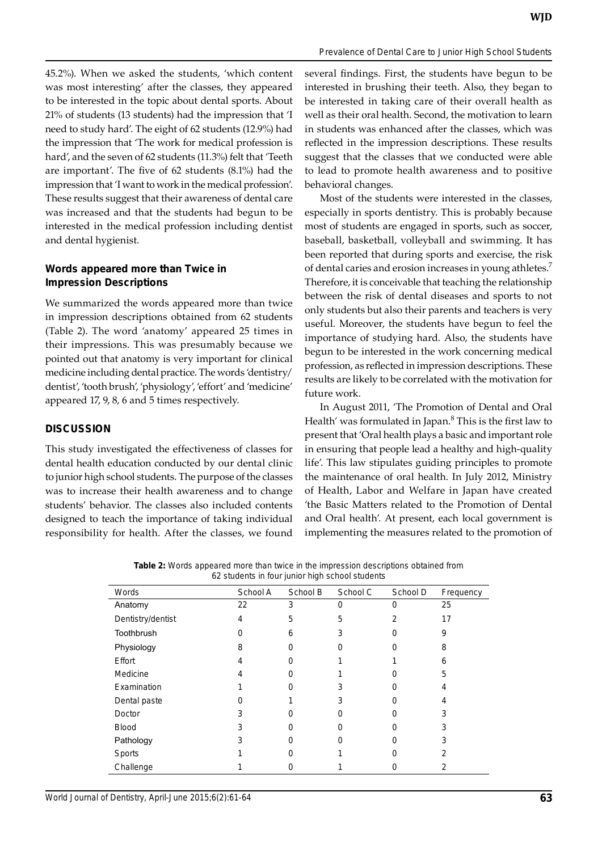45.2%). When we asked the students, 'which content was most interesting' after the classes, they appeared to be interested in the topic about dental sports. About 21% of students (13 students) had the impression that 'I need to study hard'. The eight of 62 students (12.9%) had the impression that 'The work for medical profession is hard', and the seven of 62 students (11.3%) felt that 'Teeth are important'. The five of 62 students (8.1%) had the impression that 'I want to work in the medical profession'. These results suggest that their awareness of dental care was increased and that the students had begun to be interested in the medical profession including dentist and dental hygienist.

# **Words appeared more than Twice in Impression Descriptions**

We summarized the words appeared more than twice in impression descriptions obtained from 62 students (Table 2). The word 'anatomy' appeared 25 times in their impressions. This was presumably because we pointed out that anatomy is very important for clinical medicine including dental practice. The words 'dentistry/ dentist', 'tooth brush', 'physiology', 'effort' and 'medicine' appeared 17, 9, 8, 6 and 5 times respectively.

# **Discussion**

This study investigated the effectiveness of classes for dental health education conducted by our dental clinic to junior high school students. The purpose of the classes was to increase their health awareness and to change students' behavior. The classes also included contents designed to teach the importance of taking individual responsibility for health. After the classes, we found

several findings. First, the students have begun to be interested in brushing their teeth. Also, they began to be interested in taking care of their overall health as well as their oral health. Second, the motivation to learn in students was enhanced after the classes, which was reflected in the impression descriptions. These results suggest that the classes that we conducted were able to lead to promote health awareness and to positive behavioral changes.

Most of the students were interested in the classes, especially in sports dentistry. This is probably because most of students are engaged in sports, such as soccer, baseball, basketball, volleyball and swimming. It has been reported that during sports and exercise, the risk of dental caries and erosion increases in young athletes.<sup>7</sup> Therefore, it is conceivable that teaching the relationship between the risk of dental diseases and sports to not only students but also their parents and teachers is very useful. Moreover, the students have begun to feel the importance of studying hard. Also, the students have begun to be interested in the work concerning medical profession, as reflected in impression descriptions. These results are likely to be correlated with the motivation for future work.

In August 2011, 'The Promotion of Dental and Oral Health' was formulated in Japan.<sup>8</sup> This is the first law to present that 'Oral health plays a basic and important role in ensuring that people lead a healthy and high-quality life'. This law stipulates guiding principles to promote the maintenance of oral health. In July 2012, Ministry of Health, Labor and Welfare in Japan have created 'the Basic Matters related to the Promotion of Dental and Oral health'. At present, each local government is implementing the measures related to the promotion of

| <b>Table 2:</b> Words appeared more than twice in the impression descriptions obtained from |
|---------------------------------------------------------------------------------------------|
| 62 students in four junior high school students                                             |

| Words             | School A | School B | School C | School D | Frequency |
|-------------------|----------|----------|----------|----------|-----------|
| Anatomy           | 22       | 3        | 0        | 0        | 25        |
| Dentistry/dentist | 4        | 5        | 5        | 2        | 17        |
| Toothbrush        |          | 6        | 3        |          | 9         |
| Physiology        | 8        |          |          |          | 8         |
| Effort            | 4        |          |          |          | 6         |
| Medicine          |          |          |          |          | 5         |
| Examination       |          |          |          |          |           |
| Dental paste      |          |          | 3        |          |           |
| Doctor            | з        |          |          |          |           |
| <b>Blood</b>      | 3        |          |          |          |           |
| Pathology         | 3        |          |          |          |           |
| Sports            |          |          |          |          |           |
| Challenge         |          |          |          |          |           |